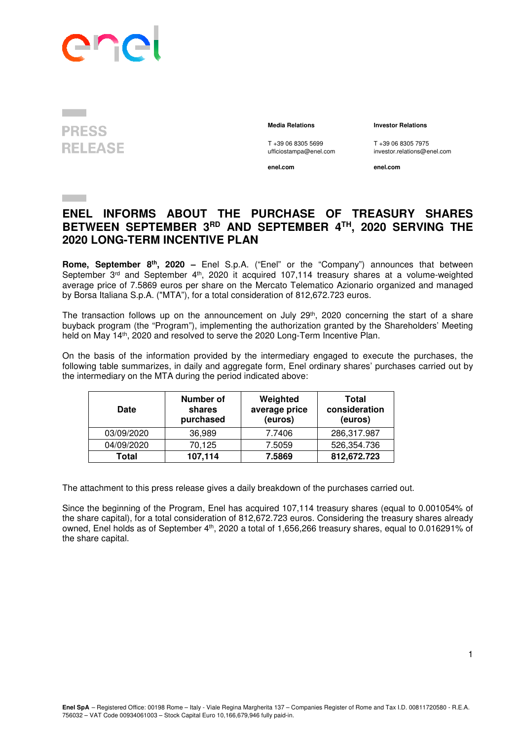

## **PRESS RELEASE**

## **Media Relations Investor Relations**

T +39 06 8305 5699 T +39 06 8305 7975<br>
ufficiostampa@enel.com investor.relations@e

**enel.com enel.com**

investor.relations@enel.com

## **ENEL INFORMS ABOUT THE PURCHASE OF TREASURY SHARES BETWEEN SEPTEMBER 3RD AND SEPTEMBER 4TH, 2020 SERVING THE 2020 LONG-TERM INCENTIVE PLAN**

**Rome, September 8th , 2020 –** Enel S.p.A. ("Enel" or the "Company") announces that between September 3<sup>rd</sup> and September 4<sup>th</sup>, 2020 it acquired 107,114 treasury shares at a volume-weighted average price of 7.5869 euros per share on the Mercato Telematico Azionario organized and managed by Borsa Italiana S.p.A. ("MTA"), for a total consideration of 812,672.723 euros.

The transaction follows up on the announcement on July 29<sup>th</sup>, 2020 concerning the start of a share buyback program (the "Program"), implementing the authorization granted by the Shareholders' Meeting held on May 14th, 2020 and resolved to serve the 2020 Long-Term Incentive Plan.

On the basis of the information provided by the intermediary engaged to execute the purchases, the following table summarizes, in daily and aggregate form, Enel ordinary shares' purchases carried out by the intermediary on the MTA during the period indicated above:

| <b>Date</b> | Number of<br>shares<br>purchased | Weighted<br>average price<br>(euros) | Total<br>consideration<br>(euros) |
|-------------|----------------------------------|--------------------------------------|-----------------------------------|
| 03/09/2020  | 36,989                           | 7.7406                               | 286,317.987                       |
| 04/09/2020  | 70,125                           | 7.5059                               | 526,354.736                       |
| Total       | 107,114                          | 7.5869                               | 812,672.723                       |

The attachment to this press release gives a daily breakdown of the purchases carried out.

Since the beginning of the Program, Enel has acquired 107,114 treasury shares (equal to 0.001054% of the share capital), for a total consideration of 812,672.723 euros. Considering the treasury shares already owned, Enel holds as of September 4th, 2020 a total of 1,656,266 treasury shares, equal to 0.016291% of the share capital.

1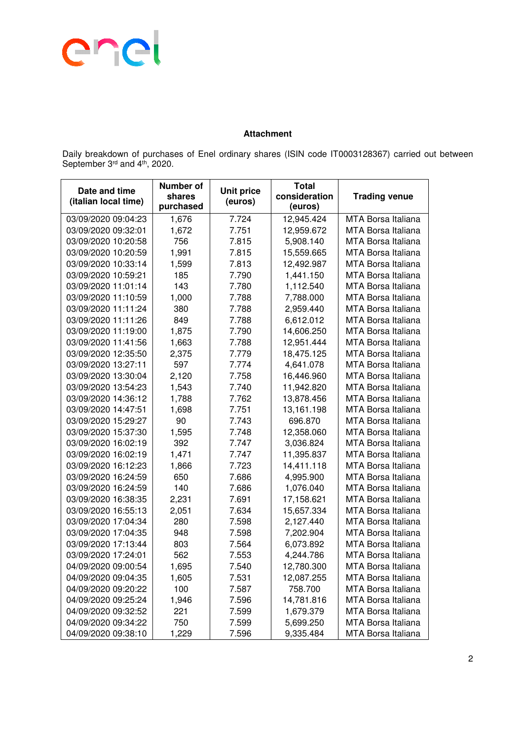

## **Attachment**

Daily breakdown of purchases of Enel ordinary shares (ISIN code IT0003128367) carried out between September 3<sup>rd</sup> and 4<sup>th</sup>, 2020.

| Date and time<br>(italian local time) | <b>Number of</b><br>shares<br>purchased | <b>Unit price</b><br>(euros) | <b>Total</b><br>consideration<br>(euros) | <b>Trading venue</b>      |
|---------------------------------------|-----------------------------------------|------------------------------|------------------------------------------|---------------------------|
| 03/09/2020 09:04:23                   | 1,676                                   | 7.724                        | 12,945.424                               | <b>MTA Borsa Italiana</b> |
| 03/09/2020 09:32:01                   | 1,672                                   | 7.751                        | 12,959.672                               | MTA Borsa Italiana        |
| 03/09/2020 10:20:58                   | 756                                     | 7.815                        | 5,908.140                                | MTA Borsa Italiana        |
| 03/09/2020 10:20:59                   | 1,991                                   | 7.815                        | 15,559.665                               | MTA Borsa Italiana        |
| 03/09/2020 10:33:14                   | 1,599                                   | 7.813                        | 12,492.987                               | MTA Borsa Italiana        |
| 03/09/2020 10:59:21                   | 185                                     | 7.790                        | 1,441.150                                | <b>MTA Borsa Italiana</b> |
| 03/09/2020 11:01:14                   | 143                                     | 7.780                        | 1,112.540                                | MTA Borsa Italiana        |
| 03/09/2020 11:10:59                   | 1,000                                   | 7.788                        | 7,788.000                                | MTA Borsa Italiana        |
| 03/09/2020 11:11:24                   | 380                                     | 7.788                        | 2,959.440                                | <b>MTA Borsa Italiana</b> |
| 03/09/2020 11:11:26                   | 849                                     | 7.788                        | 6,612.012                                | <b>MTA Borsa Italiana</b> |
| 03/09/2020 11:19:00                   | 1,875                                   | 7.790                        | 14,606.250                               | MTA Borsa Italiana        |
| 03/09/2020 11:41:56                   | 1,663                                   | 7.788                        | 12,951.444                               | <b>MTA Borsa Italiana</b> |
| 03/09/2020 12:35:50                   | 2,375                                   | 7.779                        | 18,475.125                               | MTA Borsa Italiana        |
| 03/09/2020 13:27:11                   | 597                                     | 7.774                        | 4,641.078                                | MTA Borsa Italiana        |
| 03/09/2020 13:30:04                   | 2,120                                   | 7.758                        | 16,446.960                               | MTA Borsa Italiana        |
| 03/09/2020 13:54:23                   | 1,543                                   | 7.740                        | 11,942.820                               | <b>MTA Borsa Italiana</b> |
| 03/09/2020 14:36:12                   | 1,788                                   | 7.762                        | 13,878.456                               | <b>MTA Borsa Italiana</b> |
| 03/09/2020 14:47:51                   | 1,698                                   | 7.751                        | 13,161.198                               | MTA Borsa Italiana        |
| 03/09/2020 15:29:27                   | 90                                      | 7.743                        | 696.870                                  | MTA Borsa Italiana        |
| 03/09/2020 15:37:30                   | 1,595                                   | 7.748                        | 12,358.060                               | MTA Borsa Italiana        |
| 03/09/2020 16:02:19                   | 392                                     | 7.747                        | 3,036.824                                | MTA Borsa Italiana        |
| 03/09/2020 16:02:19                   | 1,471                                   | 7.747                        | 11,395.837                               | <b>MTA Borsa Italiana</b> |
| 03/09/2020 16:12:23                   | 1,866                                   | 7.723                        | 14,411.118                               | MTA Borsa Italiana        |
| 03/09/2020 16:24:59                   | 650                                     | 7.686                        | 4,995.900                                | MTA Borsa Italiana        |
| 03/09/2020 16:24:59                   | 140                                     | 7.686                        | 1,076.040                                | <b>MTA Borsa Italiana</b> |
| 03/09/2020 16:38:35                   | 2,231                                   | 7.691                        | 17,158.621                               | <b>MTA Borsa Italiana</b> |
| 03/09/2020 16:55:13                   | 2,051                                   | 7.634                        | 15,657.334                               | MTA Borsa Italiana        |
| 03/09/2020 17:04:34                   | 280                                     | 7.598                        | 2,127.440                                | MTA Borsa Italiana        |
| 03/09/2020 17:04:35                   | 948                                     | 7.598                        | 7,202.904                                | MTA Borsa Italiana        |
| 03/09/2020 17:13:44                   | 803                                     | 7.564                        | 6,073.892                                | MTA Borsa Italiana        |
| 03/09/2020 17:24:01                   | 562                                     | 7.553                        | 4,244.786                                | MTA Borsa Italiana        |
| 04/09/2020 09:00:54                   | 1,695                                   | 7.540                        | 12,780.300                               | MTA Borsa Italiana        |
| 04/09/2020 09:04:35                   | 1,605                                   | 7.531                        | 12,087.255                               | <b>MTA Borsa Italiana</b> |
| 04/09/2020 09:20:22                   | 100                                     | 7.587                        | 758.700                                  | MTA Borsa Italiana        |
| 04/09/2020 09:25:24                   | 1,946                                   | 7.596                        | 14,781.816                               | MTA Borsa Italiana        |
| 04/09/2020 09:32:52                   | 221                                     | 7.599                        | 1,679.379                                | MTA Borsa Italiana        |
| 04/09/2020 09:34:22                   | 750                                     | 7.599                        | 5,699.250                                | MTA Borsa Italiana        |
| 04/09/2020 09:38:10                   | 1,229                                   | 7.596                        | 9,335.484                                | MTA Borsa Italiana        |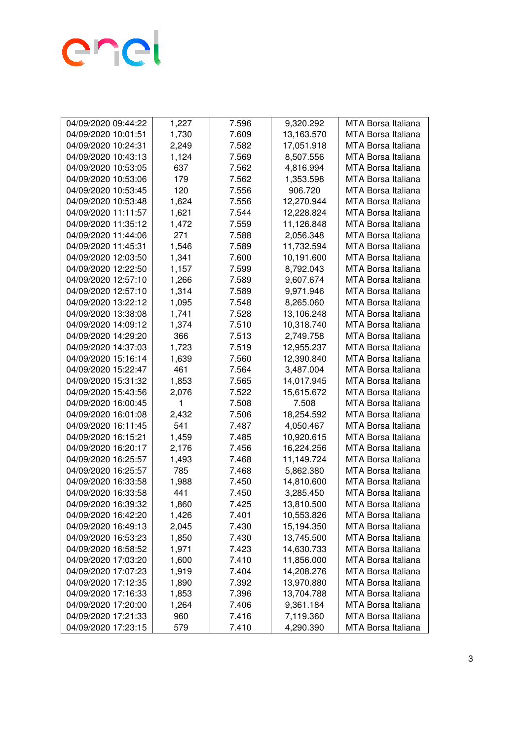

| 04/09/2020 09:44:22 | 1,227 | 7.596 | 9,320.292  | MTA Borsa Italiana        |
|---------------------|-------|-------|------------|---------------------------|
| 04/09/2020 10:01:51 | 1,730 | 7.609 | 13,163.570 | MTA Borsa Italiana        |
| 04/09/2020 10:24:31 | 2,249 | 7.582 | 17,051.918 | <b>MTA Borsa Italiana</b> |
| 04/09/2020 10:43:13 | 1,124 | 7.569 | 8,507.556  | <b>MTA Borsa Italiana</b> |
| 04/09/2020 10:53:05 | 637   | 7.562 | 4,816.994  | MTA Borsa Italiana        |
| 04/09/2020 10:53:06 | 179   | 7.562 | 1,353.598  | <b>MTA Borsa Italiana</b> |
| 04/09/2020 10:53:45 | 120   | 7.556 | 906.720    | <b>MTA Borsa Italiana</b> |
| 04/09/2020 10:53:48 | 1,624 | 7.556 | 12,270.944 | <b>MTA Borsa Italiana</b> |
| 04/09/2020 11:11:57 | 1,621 | 7.544 | 12,228.824 | <b>MTA Borsa Italiana</b> |
| 04/09/2020 11:35:12 | 1,472 | 7.559 | 11,126.848 | <b>MTA Borsa Italiana</b> |
| 04/09/2020 11:44:06 | 271   | 7.588 | 2,056.348  | <b>MTA Borsa Italiana</b> |
| 04/09/2020 11:45:31 | 1,546 | 7.589 | 11,732.594 | MTA Borsa Italiana        |
| 04/09/2020 12:03:50 | 1,341 | 7.600 | 10,191.600 | MTA Borsa Italiana        |
| 04/09/2020 12:22:50 | 1,157 | 7.599 | 8,792.043  | MTA Borsa Italiana        |
| 04/09/2020 12:57:10 | 1,266 | 7.589 | 9,607.674  | <b>MTA Borsa Italiana</b> |
| 04/09/2020 12:57:10 | 1,314 | 7.589 | 9,971.946  | MTA Borsa Italiana        |
| 04/09/2020 13:22:12 | 1,095 | 7.548 | 8,265.060  | MTA Borsa Italiana        |
| 04/09/2020 13:38:08 | 1,741 | 7.528 | 13,106.248 | <b>MTA Borsa Italiana</b> |
| 04/09/2020 14:09:12 | 1,374 | 7.510 | 10,318.740 | <b>MTA Borsa Italiana</b> |
| 04/09/2020 14:29:20 | 366   | 7.513 | 2,749.758  | <b>MTA Borsa Italiana</b> |
| 04/09/2020 14:37:03 | 1,723 | 7.519 | 12,955.237 | MTA Borsa Italiana        |
| 04/09/2020 15:16:14 | 1,639 | 7.560 | 12,390.840 | <b>MTA Borsa Italiana</b> |
| 04/09/2020 15:22:47 | 461   | 7.564 | 3,487.004  | <b>MTA Borsa Italiana</b> |
| 04/09/2020 15:31:32 | 1,853 | 7.565 | 14,017.945 | MTA Borsa Italiana        |
| 04/09/2020 15:43:56 | 2,076 | 7.522 | 15,615.672 | MTA Borsa Italiana        |
| 04/09/2020 16:00:45 | 1     | 7.508 | 7.508      | <b>MTA Borsa Italiana</b> |
| 04/09/2020 16:01:08 | 2,432 | 7.506 | 18,254.592 | <b>MTA Borsa Italiana</b> |
| 04/09/2020 16:11:45 | 541   | 7.487 | 4,050.467  | MTA Borsa Italiana        |
| 04/09/2020 16:15:21 | 1,459 | 7.485 | 10,920.615 | MTA Borsa Italiana        |
| 04/09/2020 16:20:17 | 2,176 | 7.456 | 16,224.256 | MTA Borsa Italiana        |
| 04/09/2020 16:25:57 | 1,493 | 7.468 | 11,149.724 | <b>MTA Borsa Italiana</b> |
| 04/09/2020 16:25:57 | 785   | 7.468 | 5,862.380  | <b>MTA Borsa Italiana</b> |
| 04/09/2020 16:33:58 | 1,988 | 7.450 | 14,810.600 | <b>MTA Borsa Italiana</b> |
| 04/09/2020 16:33:58 | 441   | 7.450 | 3,285.450  | <b>MTA Borsa Italiana</b> |
| 04/09/2020 16:39:32 | 1,860 | 7.425 | 13,810.500 | <b>MTA Borsa Italiana</b> |
| 04/09/2020 16:42:20 | 1,426 | 7.401 | 10,553.826 | MTA Borsa Italiana        |
| 04/09/2020 16:49:13 | 2,045 | 7.430 | 15,194.350 | MTA Borsa Italiana        |
| 04/09/2020 16:53:23 | 1,850 | 7.430 | 13,745.500 | MTA Borsa Italiana        |
| 04/09/2020 16:58:52 | 1,971 | 7.423 | 14,630.733 | MTA Borsa Italiana        |
| 04/09/2020 17:03:20 | 1,600 | 7.410 | 11,856.000 | MTA Borsa Italiana        |
| 04/09/2020 17:07:23 | 1,919 | 7.404 | 14,208.276 | MTA Borsa Italiana        |
| 04/09/2020 17:12:35 | 1,890 | 7.392 | 13,970.880 | <b>MTA Borsa Italiana</b> |
| 04/09/2020 17:16:33 | 1,853 | 7.396 | 13,704.788 | MTA Borsa Italiana        |
| 04/09/2020 17:20:00 | 1,264 | 7.406 | 9,361.184  | MTA Borsa Italiana        |
| 04/09/2020 17:21:33 | 960   | 7.416 | 7,119.360  | MTA Borsa Italiana        |
| 04/09/2020 17:23:15 | 579   | 7.410 | 4,290.390  | MTA Borsa Italiana        |